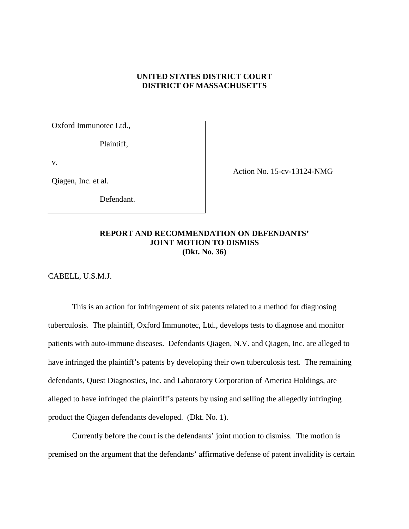# **UNITED STATES DISTRICT COURT DISTRICT OF MASSACHUSETTS**

Oxford Immunotec Ltd.,

Plaintiff,

v.

Qiagen, Inc. et al.

Defendant.

Action No. 15-cv-13124-NMG

## **REPORT AND RECOMMENDATION ON DEFENDANTS' JOINT MOTION TO DISMISS (Dkt. No. 36)**

CABELL, U.S.M.J.

This is an action for infringement of six patents related to a method for diagnosing tuberculosis. The plaintiff, Oxford Immunotec, Ltd., develops tests to diagnose and monitor patients with auto-immune diseases. Defendants Qiagen, N.V. and Qiagen, Inc. are alleged to have infringed the plaintiff's patents by developing their own tuberculosis test. The remaining defendants, Quest Diagnostics, Inc. and Laboratory Corporation of America Holdings, are alleged to have infringed the plaintiff's patents by using and selling the allegedly infringing product the Qiagen defendants developed. (Dkt. No. 1).

Currently before the court is the defendants' joint motion to dismiss. The motion is premised on the argument that the defendants' affirmative defense of patent invalidity is certain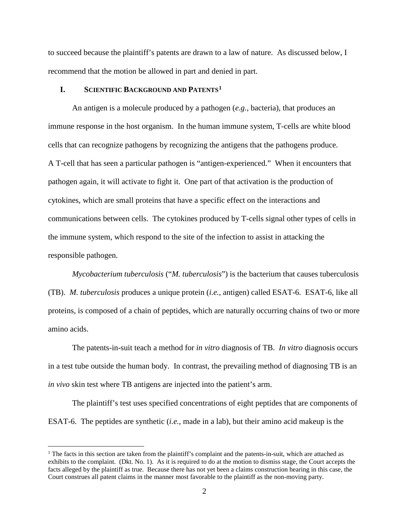to succeed because the plaintiff's patents are drawn to a law of nature. As discussed below, I recommend that the motion be allowed in part and denied in part.

# **I. SCIENTIFIC BACKGROUND AND PATENTS[1](#page-1-0)**

An antigen is a molecule produced by a pathogen (*e.g.,* bacteria), that produces an immune response in the host organism. In the human immune system, T-cells are white blood cells that can recognize pathogens by recognizing the antigens that the pathogens produce. A T-cell that has seen a particular pathogen is "antigen-experienced." When it encounters that pathogen again, it will activate to fight it. One part of that activation is the production of cytokines, which are small proteins that have a specific effect on the interactions and communications between cells. The cytokines produced by T-cells signal other types of cells in the immune system, which respond to the site of the infection to assist in attacking the responsible pathogen.

*Mycobacterium tuberculosis* ("*M. tuberculosis*") is the bacterium that causes tuberculosis (TB). *M. tuberculosis* produces a unique protein (*i.e.,* antigen) called ESAT-6. ESAT-6, like all proteins, is composed of a chain of peptides, which are naturally occurring chains of two or more amino acids.

The patents-in-suit teach a method for *in vitro* diagnosis of TB. *In vitro* diagnosis occurs in a test tube outside the human body. In contrast, the prevailing method of diagnosing TB is an *in vivo* skin test where TB antigens are injected into the patient's arm.

The plaintiff's test uses specified concentrations of eight peptides that are components of ESAT-6. The peptides are synthetic (*i.e.,* made in a lab), but their amino acid makeup is the

<span id="page-1-0"></span><sup>&</sup>lt;sup>1</sup> The facts in this section are taken from the plaintiff's complaint and the patents-in-suit, which are attached as exhibits to the complaint. (Dkt. No. 1). As it is required to do at the motion to dismiss stage, the Court accepts the facts alleged by the plaintiff as true. Because there has not yet been a claims construction hearing in this case, the Court construes all patent claims in the manner most favorable to the plaintiff as the non-moving party.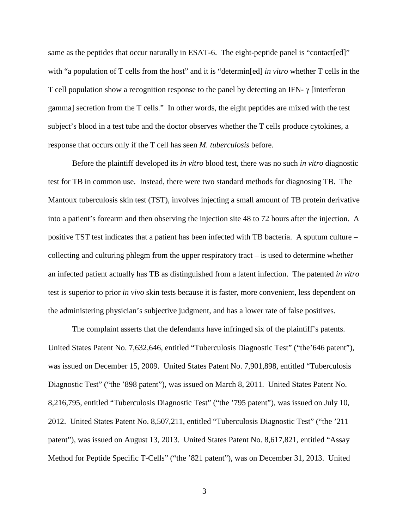same as the peptides that occur naturally in ESAT-6. The eight-peptide panel is "contact [ed]" with "a population of T cells from the host" and it is "determin<sup>[ed]</sup> *in vitro* whether T cells in the T cell population show a recognition response to the panel by detecting an IFN- γ [interferon gamma] secretion from the T cells." In other words, the eight peptides are mixed with the test subject's blood in a test tube and the doctor observes whether the T cells produce cytokines, a response that occurs only if the T cell has seen *M. tuberculosis* before.

Before the plaintiff developed its *in vitro* blood test, there was no such *in vitro* diagnostic test for TB in common use. Instead, there were two standard methods for diagnosing TB. The Mantoux tuberculosis skin test (TST), involves injecting a small amount of TB protein derivative into a patient's forearm and then observing the injection site 48 to 72 hours after the injection. A positive TST test indicates that a patient has been infected with TB bacteria. A sputum culture – collecting and culturing phlegm from the upper respiratory tract – is used to determine whether an infected patient actually has TB as distinguished from a latent infection. The patented *in vitro* test is superior to prior *in vivo* skin tests because it is faster, more convenient, less dependent on the administering physician's subjective judgment, and has a lower rate of false positives.

The complaint asserts that the defendants have infringed six of the plaintiff's patents. United States Patent No. 7,632,646, entitled "Tuberculosis Diagnostic Test" ("the'646 patent"), was issued on December 15, 2009. United States Patent No. 7,901,898, entitled "Tuberculosis Diagnostic Test" ("the '898 patent"), was issued on March 8, 2011. United States Patent No. 8,216,795, entitled "Tuberculosis Diagnostic Test" ("the '795 patent"), was issued on July 10, 2012. United States Patent No. 8,507,211, entitled "Tuberculosis Diagnostic Test" ("the '211 patent"), was issued on August 13, 2013. United States Patent No. 8,617,821, entitled "Assay Method for Peptide Specific T-Cells" ("the '821 patent"), was on December 31, 2013. United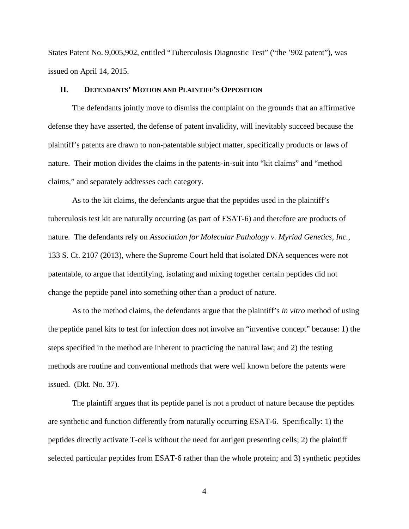States Patent No. 9,005,902, entitled "Tuberculosis Diagnostic Test" ("the '902 patent"), was issued on April 14, 2015.

## **II. DEFENDANTS' MOTION AND PLAINTIFF'S OPPOSITION**

The defendants jointly move to dismiss the complaint on the grounds that an affirmative defense they have asserted, the defense of patent invalidity, will inevitably succeed because the plaintiff's patents are drawn to non-patentable subject matter, specifically products or laws of nature. Their motion divides the claims in the patents-in-suit into "kit claims" and "method claims," and separately addresses each category.

As to the kit claims, the defendants argue that the peptides used in the plaintiff's tuberculosis test kit are naturally occurring (as part of ESAT-6) and therefore are products of nature. The defendants rely on *Association for Molecular Pathology v. Myriad Genetics, Inc.*, 133 S. Ct. 2107 (2013), where the Supreme Court held that isolated DNA sequences were not patentable, to argue that identifying, isolating and mixing together certain peptides did not change the peptide panel into something other than a product of nature.

As to the method claims, the defendants argue that the plaintiff's *in vitro* method of using the peptide panel kits to test for infection does not involve an "inventive concept" because: 1) the steps specified in the method are inherent to practicing the natural law; and 2) the testing methods are routine and conventional methods that were well known before the patents were issued. (Dkt. No. 37).

The plaintiff argues that its peptide panel is not a product of nature because the peptides are synthetic and function differently from naturally occurring ESAT-6. Specifically: 1) the peptides directly activate T-cells without the need for antigen presenting cells; 2) the plaintiff selected particular peptides from ESAT-6 rather than the whole protein; and 3) synthetic peptides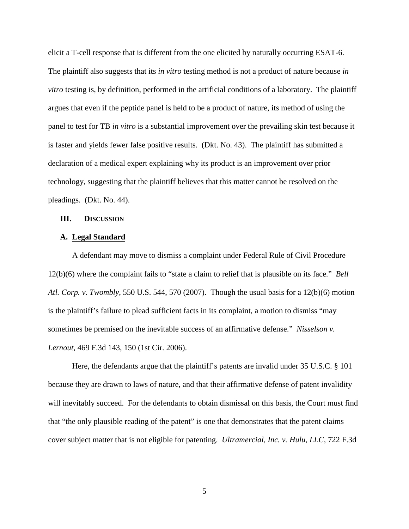elicit a T-cell response that is different from the one elicited by naturally occurring ESAT-6. The plaintiff also suggests that its *in vitro* testing method is not a product of nature because *in vitro* testing is, by definition, performed in the artificial conditions of a laboratory. The plaintiff argues that even if the peptide panel is held to be a product of nature, its method of using the panel to test for TB *in vitro* is a substantial improvement over the prevailing skin test because it is faster and yields fewer false positive results. (Dkt. No. 43). The plaintiff has submitted a declaration of a medical expert explaining why its product is an improvement over prior technology, suggesting that the plaintiff believes that this matter cannot be resolved on the pleadings. (Dkt. No. 44).

### **III. DISCUSSION**

#### **A. Legal Standard**

A defendant may move to dismiss a complaint under Federal Rule of Civil Procedure 12(b)(6) where the complaint fails to "state a claim to relief that is plausible on its face." *Bell Atl. Corp. v. Twombly*, 550 U.S. 544, 570 (2007). Though the usual basis for a 12(b)(6) motion is the plaintiff's failure to plead sufficient facts in its complaint, a motion to dismiss "may sometimes be premised on the inevitable success of an affirmative defense." *Nisselson v. Lernout,* 469 F.3d 143, 150 (1st Cir. 2006).

Here, the defendants argue that the plaintiff's patents are invalid under 35 U.S.C. § 101 because they are drawn to laws of nature, and that their affirmative defense of patent invalidity will inevitably succeed. For the defendants to obtain dismissal on this basis, the Court must find that "the only plausible reading of the patent" is one that demonstrates that the patent claims cover subject matter that is not eligible for patenting. *Ultramercial, Inc. v. Hulu, LLC*, 722 F.3d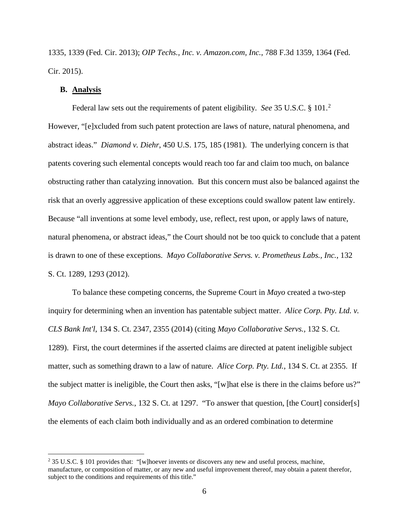1335, 1339 (Fed. Cir. 2013); *OIP Techs., Inc. v. Amazon.com, Inc.*, 788 F.3d 1359, 1364 (Fed. Cir. 2015).

## **B. Analysis**

Federal law sets out the requirements of patent eligibility. *See* 35 U.S.C. § 101. [2](#page-5-0) However, "[e]xcluded from such patent protection are laws of nature, natural phenomena, and abstract ideas." *Diamond v. Diehr*, 450 U.S. 175, 185 (1981). The underlying concern is that patents covering such elemental concepts would reach too far and claim too much, on balance obstructing rather than catalyzing innovation. But this concern must also be balanced against the risk that an overly aggressive application of these exceptions could swallow patent law entirely. Because "all inventions at some level embody, use, reflect, rest upon, or apply laws of nature, natural phenomena, or abstract ideas," the Court should not be too quick to conclude that a patent is drawn to one of these exceptions. *Mayo Collaborative Servs. v. Prometheus Labs., Inc.*, 132 S. Ct. 1289, 1293 (2012).

To balance these competing concerns, the Supreme Court in *Mayo* created a two-step inquiry for determining when an invention has patentable subject matter. *Alice Corp. Pty. Ltd. v. CLS Bank Int'l*, 134 S. Ct. 2347, 2355 (2014) (citing *Mayo Collaborative Servs.,* 132 S. Ct. 1289). First, the court determines if the asserted claims are directed at patent ineligible subject matter, such as something drawn to a law of nature. *Alice Corp. Pty. Ltd.*, 134 S. Ct. at 2355. If the subject matter is ineligible, the Court then asks, "[w]hat else is there in the claims before us?" *Mayo Collaborative Servs.*, 132 S. Ct. at 1297. "To answer that question, [the Court] consider[s] the elements of each claim both individually and as an ordered combination to determine

<span id="page-5-0"></span> <sup>2</sup> 35 U.S.C. § 101 provides that: "[w]hoever invents or discovers any new and useful process, machine, manufacture, or composition of matter, or any new and useful improvement thereof, may obtain a patent therefor, subject to the conditions and requirements of this title."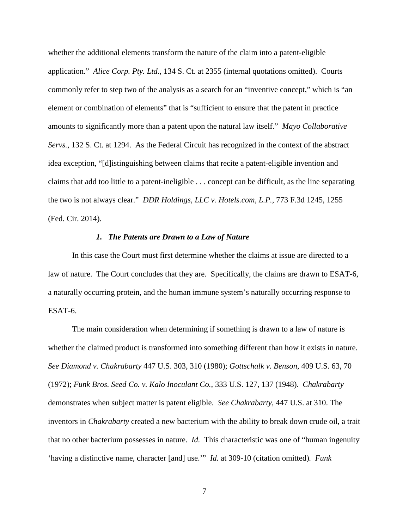whether the additional elements transform the nature of the claim into a patent-eligible application." *Alice Corp. Pty. Ltd.*, 134 S. Ct. at 2355 (internal quotations omitted). Courts commonly refer to step two of the analysis as a search for an "inventive concept," which is "an element or combination of elements" that is "sufficient to ensure that the patent in practice amounts to significantly more than a patent upon the natural law itself." *Mayo Collaborative Servs.*, 132 S. Ct. at 1294. As the Federal Circuit has recognized in the context of the abstract idea exception, "[d]istinguishing between claims that recite a patent-eligible invention and claims that add too little to a patent-ineligible . . . concept can be difficult, as the line separating the two is not always clear." *DDR Holdings, LLC v. Hotels.com, L.P.*, 773 F.3d 1245, 1255 (Fed. Cir. 2014).

### *1. The Patents are Drawn to a Law of Nature*

In this case the Court must first determine whether the claims at issue are directed to a law of nature. The Court concludes that they are. Specifically, the claims are drawn to ESAT-6, a naturally occurring protein, and the human immune system's naturally occurring response to ESAT-6.

The main consideration when determining if something is drawn to a law of nature is whether the claimed product is transformed into something different than how it exists in nature. *See Diamond v. Chakrabarty* 447 U.S. 303, 310 (1980); *Gottschalk v. Benson*, 409 U.S. 63, 70 (1972); *Funk Bros. Seed Co. v. Kalo Inoculant Co.*, 333 U.S. 127, 137 (1948). *Chakrabarty* demonstrates when subject matter is patent eligible. *See Chakrabarty,* 447 U.S. at 310. The inventors in *Chakrabarty* created a new bacterium with the ability to break down crude oil, a trait that no other bacterium possesses in nature. *Id.* This characteristic was one of "human ingenuity 'having a distinctive name, character [and] use.'" *Id.* at 309-10 (citation omitted)*. Funk*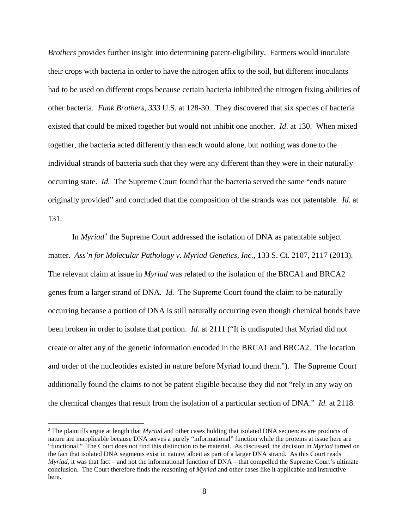*Brothers* provides further insight into determining patent-eligibility. Farmers would inoculate their crops with bacteria in order to have the nitrogen affix to the soil, but different inoculants had to be used on different crops because certain bacteria inhibited the nitrogen fixing abilities of other bacteria. *Funk Brothers*, *333* U.S. at 128-30. They discovered that six species of bacteria existed that could be mixed together but would not inhibit one another. *Id*. at 130. When mixed together, the bacteria acted differently than each would alone, but nothing was done to the individual strands of bacteria such that they were any different than they were in their naturally occurring state. *Id.* The Supreme Court found that the bacteria served the same "ends nature originally provided" and concluded that the composition of the strands was not patentable. *Id.* at 131.

In *Myriad*[3](#page-7-0) the Supreme Court addressed the isolation of DNA as patentable subject matter. *Ass'n for Molecular Pathology v. Myriad Genetics, Inc.*, 133 S. Ct. 2107, 2117 (2013). The relevant claim at issue in *Myriad* was related to the isolation of the BRCA1 and BRCA2 genes from a larger strand of DNA. *Id.* The Supreme Court found the claim to be naturally occurring because a portion of DNA is still naturally occurring even though chemical bonds have been broken in order to isolate that portion. *Id.* at 2111 ("It is undisputed that Myriad did not create or alter any of the genetic information encoded in the BRCA1 and BRCA2. The location and order of the nucleotides existed in nature before Myriad found them."). The Supreme Court additionally found the claims to not be patent eligible because they did not "rely in any way on the chemical changes that result from the isolation of a particular section of DNA." *Id.* at 2118.

<span id="page-7-0"></span> <sup>3</sup> The plaintiffs argue at length that *Myriad* and other cases holding that isolated DNA sequences are products of nature are inapplicable because DNA serves a purely "informational" function while the proteins at issue here are "functional." The Court does not find this distinction to be material. As discussed, the decision in *Myriad* turned on the fact that isolated DNA segments exist in nature, albeit as part of a larger DNA strand. As this Court reads *Myriad,* it was that fact – and not the informational function of DNA – that compelled the Supreme Court's ultimate conclusion. The Court therefore finds the reasoning of *Myriad* and other cases like it applicable and instructive here.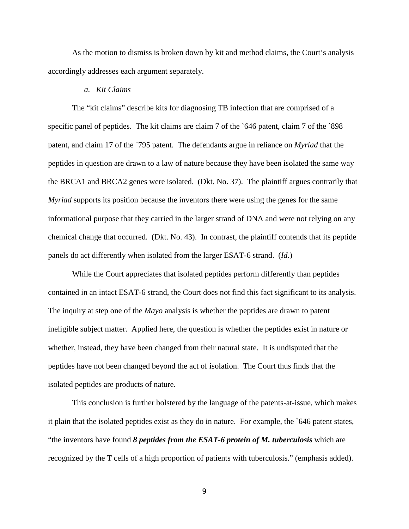As the motion to dismiss is broken down by kit and method claims, the Court's analysis accordingly addresses each argument separately.

## *a. Kit Claims*

The "kit claims" describe kits for diagnosing TB infection that are comprised of a specific panel of peptides. The kit claims are claim 7 of the `646 patent, claim 7 of the `898 patent, and claim 17 of the `795 patent. The defendants argue in reliance on *Myriad* that the peptides in question are drawn to a law of nature because they have been isolated the same way the BRCA1 and BRCA2 genes were isolated. (Dkt. No. 37). The plaintiff argues contrarily that *Myriad* supports its position because the inventors there were using the genes for the same informational purpose that they carried in the larger strand of DNA and were not relying on any chemical change that occurred. (Dkt. No. 43). In contrast, the plaintiff contends that its peptide panels do act differently when isolated from the larger ESAT-6 strand. (*Id.*)

While the Court appreciates that isolated peptides perform differently than peptides contained in an intact ESAT-6 strand, the Court does not find this fact significant to its analysis. The inquiry at step one of the *Mayo* analysis is whether the peptides are drawn to patent ineligible subject matter. Applied here, the question is whether the peptides exist in nature or whether, instead, they have been changed from their natural state. It is undisputed that the peptides have not been changed beyond the act of isolation. The Court thus finds that the isolated peptides are products of nature.

This conclusion is further bolstered by the language of the patents-at-issue, which makes it plain that the isolated peptides exist as they do in nature. For example, the `646 patent states, "the inventors have found *8 peptides from the ESAT-6 protein of M. tuberculosis* which are recognized by the T cells of a high proportion of patients with tuberculosis." (emphasis added).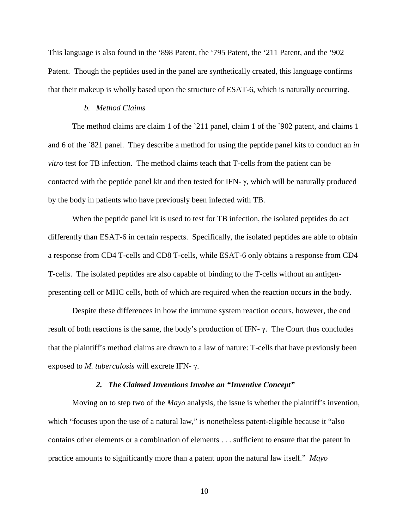This language is also found in the '898 Patent, the '795 Patent, the '211 Patent, and the '902 Patent. Though the peptides used in the panel are synthetically created, this language confirms that their makeup is wholly based upon the structure of ESAT-6, which is naturally occurring.

## *b. Method Claims*

The method claims are claim 1 of the `211 panel, claim 1 of the `902 patent, and claims 1 and 6 of the `821 panel. They describe a method for using the peptide panel kits to conduct an *in vitro* test for TB infection. The method claims teach that T-cells from the patient can be contacted with the peptide panel kit and then tested for IFN- $\gamma$ , which will be naturally produced by the body in patients who have previously been infected with TB.

When the peptide panel kit is used to test for TB infection, the isolated peptides do act differently than ESAT-6 in certain respects. Specifically, the isolated peptides are able to obtain a response from CD4 T-cells and CD8 T-cells, while ESAT-6 only obtains a response from CD4 T-cells. The isolated peptides are also capable of binding to the T-cells without an antigenpresenting cell or MHC cells, both of which are required when the reaction occurs in the body.

Despite these differences in how the immune system reaction occurs, however, the end result of both reactions is the same, the body's production of IFN- $\gamma$ . The Court thus concludes that the plaintiff's method claims are drawn to a law of nature: T-cells that have previously been exposed to *M. tuberculosis* will excrete IFN- γ.

### *2. The Claimed Inventions Involve an "Inventive Concept"*

Moving on to step two of the *Mayo* analysis, the issue is whether the plaintiff's invention, which "focuses upon the use of a natural law," is nonetheless patent-eligible because it "also" contains other elements or a combination of elements . . . sufficient to ensure that the patent in practice amounts to significantly more than a patent upon the natural law itself." *Mayo*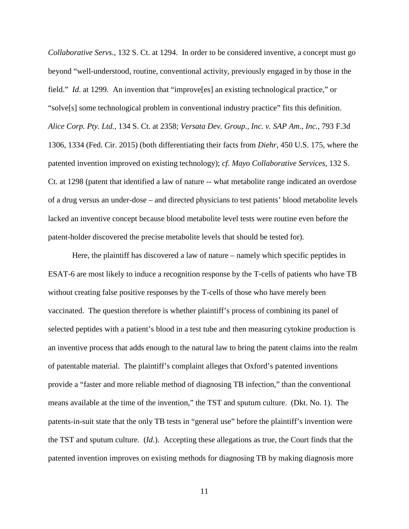*Collaborative Servs.*, 132 S. Ct. at 1294. In order to be considered inventive, a concept must go beyond "well-understood, routine, conventional activity, previously engaged in by those in the field." *Id*. at 1299. An invention that "improve[es] an existing technological practice," or "solve[s] some technological problem in conventional industry practice" fits this definition. *Alice Corp. Pty. Ltd.*, 134 S. Ct. at 2358; *Versata Dev. Group., Inc. v. SAP Am., Inc.*, 793 F.3d 1306, 1334 (Fed. Cir. 2015) (both differentiating their facts from *Diehr*, 450 U.S. 175, where the patented invention improved on existing technology); *cf. Mayo Collaborative Services*, 132 S. Ct. at 1298 (patent that identified a law of nature -- what metabolite range indicated an overdose of a drug versus an under-dose – and directed physicians to test patients' blood metabolite levels lacked an inventive concept because blood metabolite level tests were routine even before the patent-holder discovered the precise metabolite levels that should be tested for).

Here, the plaintiff has discovered a law of nature – namely which specific peptides in ESAT-6 are most likely to induce a recognition response by the T-cells of patients who have TB without creating false positive responses by the T-cells of those who have merely been vaccinated. The question therefore is whether plaintiff's process of combining its panel of selected peptides with a patient's blood in a test tube and then measuring cytokine production is an inventive process that adds enough to the natural law to bring the patent claims into the realm of patentable material. The plaintiff's complaint alleges that Oxford's patented inventions provide a "faster and more reliable method of diagnosing TB infection," than the conventional means available at the time of the invention," the TST and sputum culture. (Dkt. No. 1). The patents-in-suit state that the only TB tests in "general use" before the plaintiff's invention were the TST and sputum culture. (*Id*.). Accepting these allegations as true, the Court finds that the patented invention improves on existing methods for diagnosing TB by making diagnosis more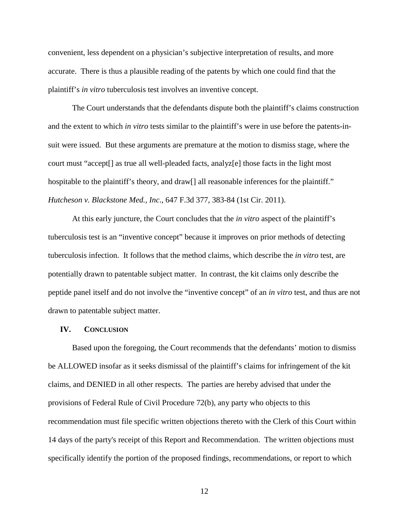convenient, less dependent on a physician's subjective interpretation of results, and more accurate. There is thus a plausible reading of the patents by which one could find that the plaintiff's *in vitro* tuberculosis test involves an inventive concept.

The Court understands that the defendants dispute both the plaintiff's claims construction and the extent to which *in vitro* tests similar to the plaintiff's were in use before the patents-insuit were issued. But these arguments are premature at the motion to dismiss stage, where the court must "accept[] as true all well-pleaded facts, analyz[e] those facts in the light most hospitable to the plaintiff's theory, and draw<sup>[]</sup> all reasonable inferences for the plaintiff." *Hutcheson v. Blackstone Med., Inc*., 647 F.3d 377, 383-84 (1st Cir. 2011).

At this early juncture, the Court concludes that the *in vitro* aspect of the plaintiff's tuberculosis test is an "inventive concept" because it improves on prior methods of detecting tuberculosis infection. It follows that the method claims, which describe the *in vitro* test, are potentially drawn to patentable subject matter. In contrast, the kit claims only describe the peptide panel itself and do not involve the "inventive concept" of an *in vitro* test, and thus are not drawn to patentable subject matter.

#### **IV. CONCLUSION**

Based upon the foregoing, the Court recommends that the defendants' motion to dismiss be ALLOWED insofar as it seeks dismissal of the plaintiff's claims for infringement of the kit claims, and DENIED in all other respects. The parties are hereby advised that under the provisions of Federal Rule of Civil Procedure 72(b), any party who objects to this recommendation must file specific written objections thereto with the Clerk of this Court within 14 days of the party's receipt of this Report and Recommendation. The written objections must specifically identify the portion of the proposed findings, recommendations, or report to which